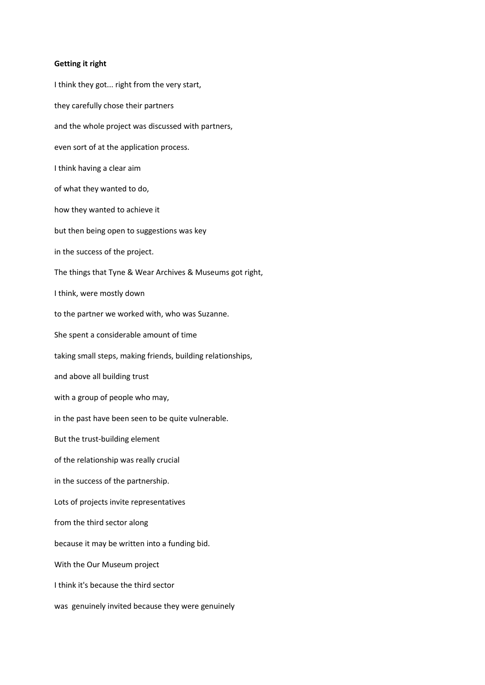## **Getting it right**

I think they got... right from the very start, they carefully chose their partners and the whole project was discussed with partners, even sort of at the application process. I think having a clear aim of what they wanted to do, how they wanted to achieve it but then being open to suggestions was key in the success of the project. The things that Tyne & Wear Archives & Museums got right, I think, were mostly down to the partner we worked with, who was Suzanne. She spent a considerable amount of time taking small steps, making friends, building relationships, and above all building trust with a group of people who may, in the past have been seen to be quite vulnerable. But the trust-building element of the relationship was really crucial in the success of the partnership. Lots of projects invite representatives from the third sector along because it may be written into a funding bid. With the Our Museum project I think it's because the third sector was genuinely invited because they were genuinely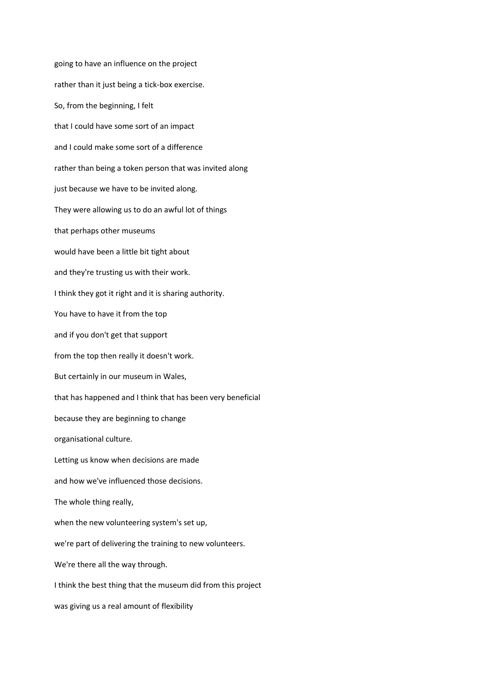going to have an influence on the project rather than it just being a tick-box exercise. So, from the beginning, I felt that I could have some sort of an impact and I could make some sort of a difference rather than being a token person that was invited along just because we have to be invited along. They were allowing us to do an awful lot of things that perhaps other museums would have been a little bit tight about and they're trusting us with their work. I think they got it right and it is sharing authority. You have to have it from the top and if you don't get that support from the top then really it doesn't work. But certainly in our museum in Wales, that has happened and I think that has been very beneficial because they are beginning to change organisational culture. Letting us know when decisions are made and how we've influenced those decisions. The whole thing really, when the new volunteering system's set up, we're part of delivering the training to new volunteers. We're there all the way through. I think the best thing that the museum did from this project was giving us a real amount of flexibility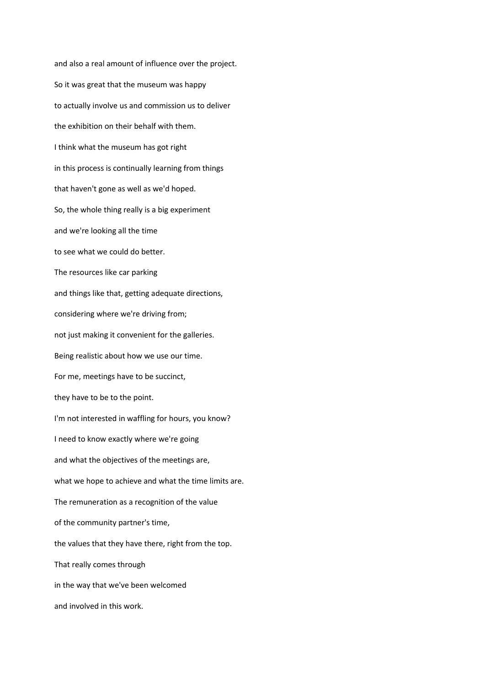and also a real amount of influence over the project. So it was great that the museum was happy to actually involve us and commission us to deliver the exhibition on their behalf with them. I think what the museum has got right in this process is continually learning from things that haven't gone as well as we'd hoped. So, the whole thing really is a big experiment and we're looking all the time to see what we could do better. The resources like car parking and things like that, getting adequate directions, considering where we're driving from; not just making it convenient for the galleries. Being realistic about how we use our time. For me, meetings have to be succinct, they have to be to the point. I'm not interested in waffling for hours, you know? I need to know exactly where we're going and what the objectives of the meetings are, what we hope to achieve and what the time limits are. The remuneration as a recognition of the value of the community partner's time, the values that they have there, right from the top. That really comes through in the way that we've been welcomed and involved in this work.